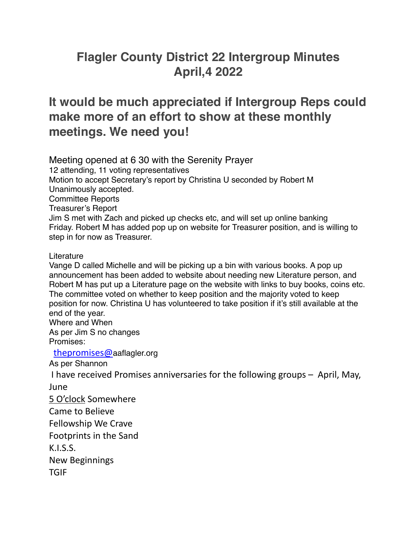## **Flagler County District 22 Intergroup Minutes April,4 2022**

## **It would be much appreciated if Intergroup Reps could make more of an effort to show at these monthly meetings. We need you!**

Meeting opened at 6 30 with the Serenity Prayer

12 attending, 11 voting representatives

Motion to accept Secretary's report by Christina U seconded by Robert M Unanimously accepted. Committee Reports Treasurer's Report Jim S met with Zach and picked up checks etc, and will set up online banking Friday. Robert M has added pop up on website for Treasurer position, and is willing to step in for now as Treasurer.

## Literature

Vange D called Michelle and will be picking up a bin with various books. A pop up announcement has been added to website about needing new Literature person, and Robert M has put up a Literature page on the website with links to buy books, coins etc. The committee voted on whether to keep position and the majority voted to keep position for now. Christina U has volunteered to take position if it's still available at the end of the year. Where and When

As per Jim S no changes Promises:

 [thepromises@](mailto:thepromises@aaflagler.org)aaflagler.org

As per Shannon

I have received Promises anniversaries for the following groups  $-$  April, May,

June

5 O'clock Somewhere

Came to Believe

Fellowship We Crave

Footprints in the Sand

K.I.S.S.

New Beginnings

TGIF